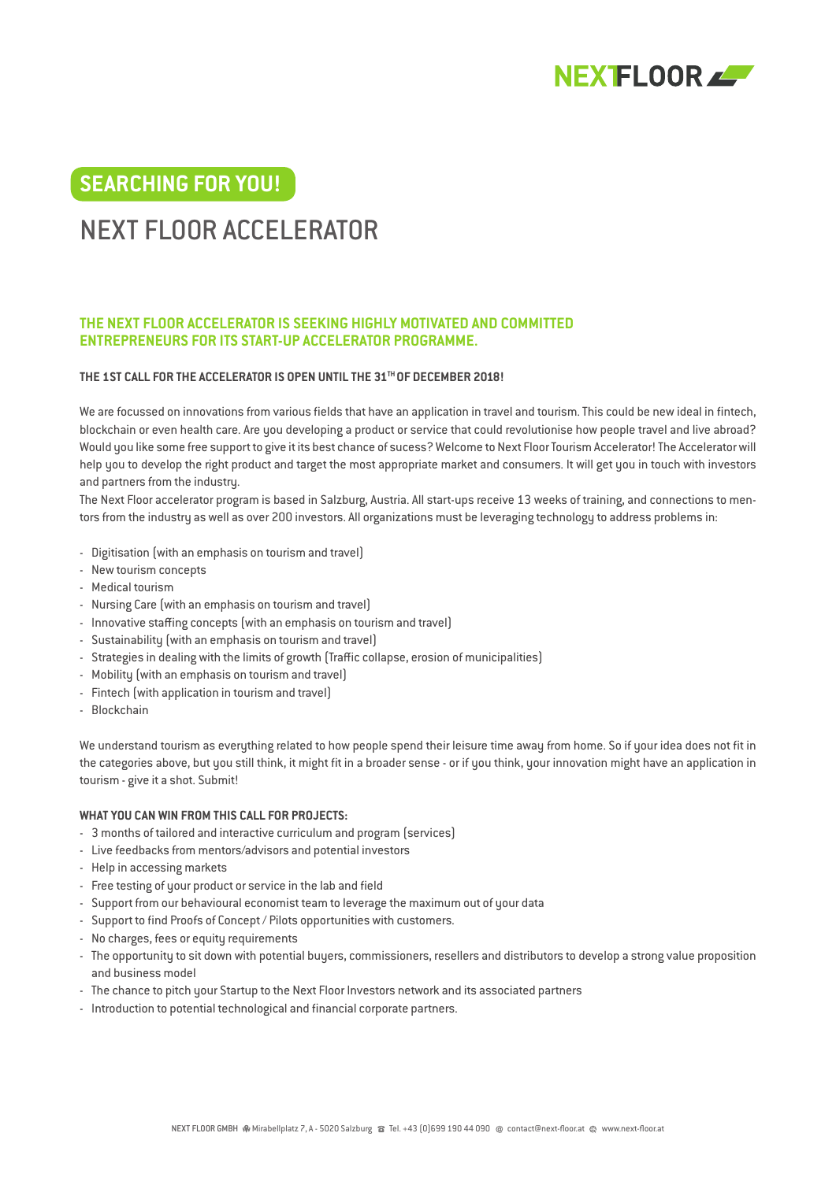

## **SEARCHING FOR YOU!**

# NEXT FLOOR ACCELERATOR

## **THE NEXT FLOOR ACCELERATOR IS SEEKING HIGHLY MOTIVATED AND COMMITTED ENTREPRENEURS FOR ITS START-UP ACCELERATOR PROGRAMME.**

## **THE 1ST CALL FOR THE ACCELERATOR IS OPEN UNTIL THE 31TH OF DECEMBER 2018!**

We are focussed on innovations from various fields that have an application in travel and tourism. This could be new ideal in fintech, blockchain or even health care. Are you developing a product or service that could revolutionise how people travel and live abroad? Would you like some free support to give it its best chance of sucess? Welcome to Next Floor Tourism Accelerator! The Accelerator will help you to develop the right product and target the most appropriate market and consumers. It will get you in touch with investors and partners from the industry.

The Next Floor accelerator program is based in Salzburg, Austria. All start-ups receive 13 weeks of training, and connections to mentors from the industry as well as over 200 investors. All organizations must be leveraging technology to address problems in:

- Digitisation (with an emphasis on tourism and travel)
- New tourism concepts
- Medical tourism
- Nursing Care (with an emphasis on tourism and travel)
- Innovative staffing concepts (with an emphasis on tourism and travel)
- Sustainability (with an emphasis on tourism and travel)
- Strategies in dealing with the limits of growth (Traffic collapse, erosion of municipalities)
- Mobility (with an emphasis on tourism and travel)
- Fintech (with application in tourism and travel)
- Blockchain

We understand tourism as everything related to how people spend their leisure time away from home. So if your idea does not fit in the categories above, but you still think, it might fit in a broader sense - or if you think, your innovation might have an application in tourism - give it a shot. Submit!

#### **WHAT YOU CAN WIN FROM THIS CALL FOR PROJECTS:**

- 3 months of tailored and interactive curriculum and program (services)
- Live feedbacks from mentors/advisors and potential investors
- Help in accessing markets
- Free testing of your product or service in the lab and field
- Support from our behavioural economist team to leverage the maximum out of your data
- Support to find Proofs of Concept / Pilots opportunities with customers.
- No charges, fees or equity requirements
- The opportunity to sit down with potential buyers, commissioners, resellers and distributors to develop a strong value proposition and business model
- The chance to pitch your Startup to the Next Floor Investors network and its associated partners
- Introduction to potential technological and financial corporate partners.